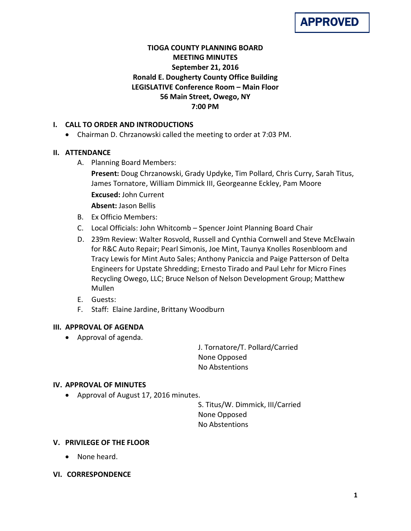

# **TIOGA COUNTY PLANNING BOARD MEETING MINUTES September 21, 2016 Ronald E. Dougherty County Office Building LEGISLATIVE Conference Room – Main Floor 56 Main Street, Owego, NY 7:00 PM**

# **I. CALL TO ORDER AND INTRODUCTIONS**

• Chairman D. Chrzanowski called the meeting to order at 7:03 PM.

# **II. ATTENDANCE**

- A. Planning Board Members:
	- **Present:** Doug Chrzanowski, Grady Updyke, Tim Pollard, Chris Curry, Sarah Titus, James Tornatore, William Dimmick III, Georgeanne Eckley, Pam Moore **Excused:** John Current **Absent:** Jason Bellis
- B. Ex Officio Members:
- C. Local Officials: John Whitcomb Spencer Joint Planning Board Chair
- D. 239m Review: Walter Rosvold, Russell and Cynthia Cornwell and Steve McElwain for R&C Auto Repair; Pearl Simonis, Joe Mint, Taunya Knolles Rosenbloom and Tracy Lewis for Mint Auto Sales; Anthony Paniccia and Paige Patterson of Delta Engineers for Upstate Shredding; Ernesto Tirado and Paul Lehr for Micro Fines Recycling Owego, LLC; Bruce Nelson of Nelson Development Group; Matthew Mullen
- E. Guests:
- F. Staff: Elaine Jardine, Brittany Woodburn

### **III. APPROVAL OF AGENDA**

• Approval of agenda.

J. Tornatore/T. Pollard/Carried None Opposed No Abstentions

### **IV. APPROVAL OF MINUTES**

• Approval of August 17, 2016 minutes.

S. Titus/W. Dimmick, III/Carried None Opposed No Abstentions

### **V. PRIVILEGE OF THE FLOOR**

- None heard.
- **VI. CORRESPONDENCE**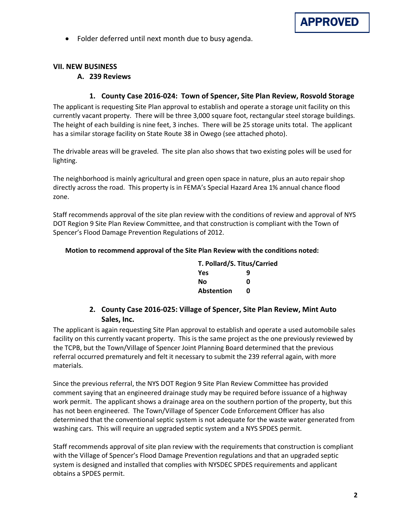

• Folder deferred until next month due to busy agenda.

# **VII. NEW BUSINESS**

#### **A. 239 Reviews**

#### **1. County Case 2016-024: Town of Spencer, Site Plan Review, Rosvold Storage**

The applicant is requesting Site Plan approval to establish and operate a storage unit facility on this currently vacant property. There will be three 3,000 square foot, rectangular steel storage buildings. The height of each building is nine feet, 3 inches. There will be 25 storage units total. The applicant has a similar storage facility on State Route 38 in Owego (see attached photo).

The drivable areas will be graveled. The site plan also shows that two existing poles will be used for lighting.

The neighborhood is mainly agricultural and green open space in nature, plus an auto repair shop directly across the road. This property is in FEMA's Special Hazard Area 1% annual chance flood zone.

Staff recommends approval of the site plan review with the conditions of review and approval of NYS DOT Region 9 Site Plan Review Committee, and that construction is compliant with the Town of Spencer's Flood Damage Prevention Regulations of 2012.

#### **Motion to recommend approval of the Site Plan Review with the conditions noted:**

| T. Pollard/S. Titus/Carried |   |  |
|-----------------------------|---|--|
| <b>Yes</b>                  | q |  |
| Nο                          | ŋ |  |
| Abstention                  | n |  |

# **2. County Case 2016-025: Village of Spencer, Site Plan Review, Mint Auto Sales, Inc.**

The applicant is again requesting Site Plan approval to establish and operate a used automobile sales facility on this currently vacant property. This is the same project as the one previously reviewed by the TCPB, but the Town/Village of Spencer Joint Planning Board determined that the previous referral occurred prematurely and felt it necessary to submit the 239 referral again, with more materials.

Since the previous referral, the NYS DOT Region 9 Site Plan Review Committee has provided comment saying that an engineered drainage study may be required before issuance of a highway work permit. The applicant shows a drainage area on the southern portion of the property, but this has not been engineered. The Town/Village of Spencer Code Enforcement Officer has also determined that the conventional septic system is not adequate for the waste water generated from washing cars. This will require an upgraded septic system and a NYS SPDES permit.

Staff recommends approval of site plan review with the requirements that construction is compliant with the Village of Spencer's Flood Damage Prevention regulations and that an upgraded septic system is designed and installed that complies with NYSDEC SPDES requirements and applicant obtains a SPDES permit.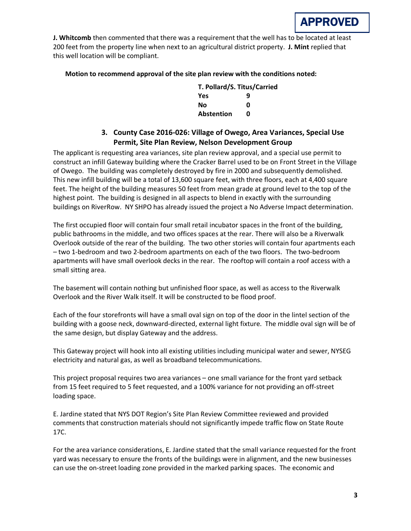

**J. Whitcomb** then commented that there was a requirement that the well has to be located at least 200 feet from the property line when next to an agricultural district property. **J. Mint** replied that this well location will be compliant.

#### **Motion to recommend approval of the site plan review with the conditions noted:**

| T. Pollard/S. Titus/Carried |   |  |
|-----------------------------|---|--|
| Yes                         | q |  |
| Nο                          | ŋ |  |
| <b>Abstention</b>           | n |  |

# **3. County Case 2016-026: Village of Owego, Area Variances, Special Use Permit, Site Plan Review, Nelson Development Group**

The applicant is requesting area variances, site plan review approval, and a special use permit to construct an infill Gateway building where the Cracker Barrel used to be on Front Street in the Village of Owego. The building was completely destroyed by fire in 2000 and subsequently demolished. This new infill building will be a total of 13,600 square feet, with three floors, each at 4,400 square feet. The height of the building measures 50 feet from mean grade at ground level to the top of the highest point. The building is designed in all aspects to blend in exactly with the surrounding buildings on RiverRow. NY SHPO has already issued the project a No Adverse Impact determination.

The first occupied floor will contain four small retail incubator spaces in the front of the building, public bathrooms in the middle, and two offices spaces at the rear. There will also be a Riverwalk Overlook outside of the rear of the building. The two other stories will contain four apartments each – two 1-bedroom and two 2-bedroom apartments on each of the two floors. The two-bedroom apartments will have small overlook decks in the rear. The rooftop will contain a roof access with a small sitting area.

The basement will contain nothing but unfinished floor space, as well as access to the Riverwalk Overlook and the River Walk itself. It will be constructed to be flood proof.

Each of the four storefronts will have a small oval sign on top of the door in the lintel section of the building with a goose neck, downward-directed, external light fixture. The middle oval sign will be of the same design, but display Gateway and the address.

This Gateway project will hook into all existing utilities including municipal water and sewer, NYSEG electricity and natural gas, as well as broadband telecommunications.

This project proposal requires two area variances – one small variance for the front yard setback from 15 feet required to 5 feet requested, and a 100% variance for not providing an off-street loading space.

E. Jardine stated that NYS DOT Region's Site Plan Review Committee reviewed and provided comments that construction materials should not significantly impede traffic flow on State Route 17C.

For the area variance considerations, E. Jardine stated that the small variance requested for the front yard was necessary to ensure the fronts of the buildings were in alignment, and the new businesses can use the on-street loading zone provided in the marked parking spaces. The economic and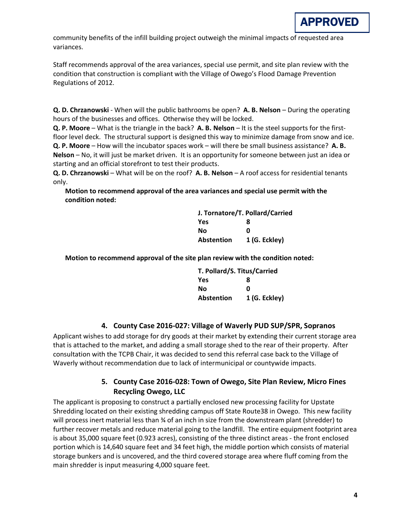

community benefits of the infill building project outweigh the minimal impacts of requested area variances.

Staff recommends approval of the area variances, special use permit, and site plan review with the condition that construction is compliant with the Village of Owego's Flood Damage Prevention Regulations of 2012.

**Q. D. Chrzanowski** - When will the public bathrooms be open? **A. B. Nelson** – During the operating hours of the businesses and offices. Otherwise they will be locked.

**Q. P. Moore** – What is the triangle in the back? **A. B. Nelson** – It is the steel supports for the firstfloor level deck. The structural support is designed this way to minimize damage from snow and ice. **Q. P. Moore** – How will the incubator spaces work – will there be small business assistance? **A. B. Nelson** – No, it will just be market driven. It is an opportunity for someone between just an idea or starting and an official storefront to test their products.

**Q. D. Chrzanowski** – What will be on the roof? **A. B. Nelson** – A roof access for residential tenants only.

**Motion to recommend approval of the area variances and special use permit with the condition noted:**

| J. Tornatore/T. Pollard/Carried |               |  |
|---------------------------------|---------------|--|
| Yes                             | 8             |  |
| Nο                              | ŋ             |  |
| <b>Abstention</b>               | 1 (G. Eckley) |  |

**Motion to recommend approval of the site plan review with the condition noted:**

| T. Pollard/S. Titus/Carried |               |
|-----------------------------|---------------|
| <b>Yes</b>                  | 8             |
| No                          | Ω             |
| Abstention                  | 1 (G. Eckley) |

#### **4. County Case 2016-027: Village of Waverly PUD SUP/SPR, Sopranos**

Applicant wishes to add storage for dry goods at their market by extending their current storage area that is attached to the market, and adding a small storage shed to the rear of their property. After consultation with the TCPB Chair, it was decided to send this referral case back to the Village of Waverly without recommendation due to lack of intermunicipal or countywide impacts.

# **5. County Case 2016-028: Town of Owego, Site Plan Review, Micro Fines Recycling Owego, LLC**

The applicant is proposing to construct a partially enclosed new processing facility for Upstate Shredding located on their existing shredding campus off State Route38 in Owego. This new facility will process inert material less than  $\frac{3}{4}$  of an inch in size from the downstream plant (shredder) to further recover metals and reduce material going to the landfill. The entire equipment footprint area is about 35,000 square feet (0.923 acres), consisting of the three distinct areas - the front enclosed portion which is 14,640 square feet and 34 feet high, the middle portion which consists of material storage bunkers and is uncovered, and the third covered storage area where fluff coming from the main shredder is input measuring 4,000 square feet.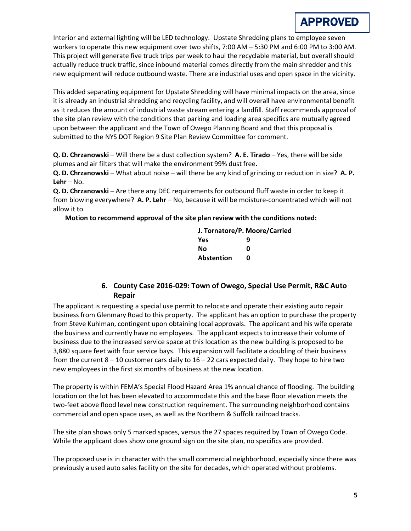

Interior and external lighting will be LED technology. Upstate Shredding plans to employee seven workers to operate this new equipment over two shifts, 7:00 AM – 5:30 PM and 6:00 PM to 3:00 AM. This project will generate five truck trips per week to haul the recyclable material, but overall should actually reduce truck traffic, since inbound material comes directly from the main shredder and this new equipment will reduce outbound waste. There are industrial uses and open space in the vicinity.

This added separating equipment for Upstate Shredding will have minimal impacts on the area, since it is already an industrial shredding and recycling facility, and will overall have environmental benefit as it reduces the amount of industrial waste stream entering a landfill. Staff recommends approval of the site plan review with the conditions that parking and loading area specifics are mutually agreed upon between the applicant and the Town of Owego Planning Board and that this proposal is submitted to the NYS DOT Region 9 Site Plan Review Committee for comment.

**Q. D. Chrzanowski** – Will there be a dust collection system? **A. E. Tirado** – Yes, there will be side plumes and air filters that will make the environment 99% dust free.

**Q. D. Chrzanowski** – What about noise – will there be any kind of grinding or reduction in size? **A. P. Lehr** – No.

**Q. D. Chrzanowski** – Are there any DEC requirements for outbound fluff waste in order to keep it from blowing everywhere? **A. P. Lehr** – No, because it will be moisture-concentrated which will not allow it to.

**Motion to recommend approval of the site plan review with the conditions noted:**

| J. Tornatore/P. Moore/Carried |   |  |
|-------------------------------|---|--|
| Yes                           | q |  |
| No                            | n |  |
| <b>Abstention</b>             | n |  |

# **6. County Case 2016-029: Town of Owego, Special Use Permit, R&C Auto Repair**

The applicant is requesting a special use permit to relocate and operate their existing auto repair business from Glenmary Road to this property. The applicant has an option to purchase the property from Steve Kuhlman, contingent upon obtaining local approvals. The applicant and his wife operate the business and currently have no employees. The applicant expects to increase their volume of business due to the increased service space at this location as the new building is proposed to be 3,880 square feet with four service bays. This expansion will facilitate a doubling of their business from the current  $8 - 10$  customer cars daily to  $16 - 22$  cars expected daily. They hope to hire two new employees in the first six months of business at the new location.

The property is within FEMA's Special Flood Hazard Area 1% annual chance of flooding. The building location on the lot has been elevated to accommodate this and the base floor elevation meets the two-feet above flood level new construction requirement. The surrounding neighborhood contains commercial and open space uses, as well as the Northern & Suffolk railroad tracks.

The site plan shows only 5 marked spaces, versus the 27 spaces required by Town of Owego Code. While the applicant does show one ground sign on the site plan, no specifics are provided.

The proposed use is in character with the small commercial neighborhood, especially since there was previously a used auto sales facility on the site for decades, which operated without problems.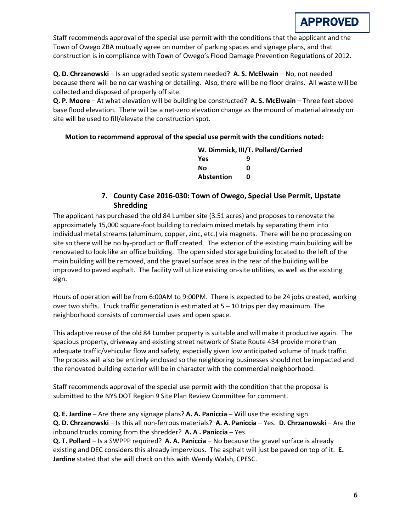

Staff recommends approval of the special use permit with the conditions that the applicant and the Town of Owego ZBA mutually agree on number of parking spaces and signage plans, and that construction is in compliance with Town of Owego's Flood Damage Prevention Regulations of 2012.

**Q. D. Chrzanowski** – Is an upgraded septic system needed? **A. S. McElwain** – No, not needed because there will be no car washing or detailing. Also, there will be no floor drains. All waste will be collected and disposed of properly off site.

**Q. P. Moore** – At what elevation will be building be constructed? **A. S. McElwain** – Three feet above base flood elevation. There will be a net-zero elevation change as the mound of material already on site will be used to fill/elevate the construction spot.

#### **Motion to recommend approval of the special use permit with the conditions noted:**

| W. Dimmick, III/T. Pollard/Carried |   |  |
|------------------------------------|---|--|
| <b>Yes</b>                         | q |  |
| No                                 | ŋ |  |
| <b>Abstention</b>                  | n |  |

# **7. County Case 2016-030: Town of Owego, Special Use Permit, Upstate Shredding**

The applicant has purchased the old 84 Lumber site (3.51 acres) and proposes to renovate the approximately 15,000 square-foot building to reclaim mixed metals by separating them into individual metal streams (aluminum, copper, zinc, etc.) via magnets. There will be no processing on site so there will be no by-product or fluff created. The exterior of the existing main building will be renovated to look like an office building. The open sided storage building located to the left of the main building will be removed, and the gravel surface area in the rear of the building will be improved to paved asphalt. The facility will utilize existing on-site utilities, as well as the existing sign.

Hours of operation will be from 6:00AM to 9:00PM. There is expected to be 24 jobs created, working over two shifts. Truck traffic generation is estimated at 5 – 10 trips per day maximum. The neighborhood consists of commercial uses and open space.

This adaptive reuse of the old 84 Lumber property is suitable and will make it productive again. The spacious property, driveway and existing street network of State Route 434 provide more than adequate traffic/vehicular flow and safety, especially given low anticipated volume of truck traffic. The process will also be entirely enclosed so the neighboring businesses should not be impacted and the renovated building exterior will be in character with the commercial neighborhood.

Staff recommends approval of the special use permit with the condition that the proposal is submitted to the NYS DOT Region 9 Site Plan Review Committee for comment.

#### **Q. E. Jardine** – Are there any signage plans? **A. A. Paniccia** – Will use the existing sign.

**Q. D. Chrzanowski** – Is this all non-ferrous materials? **A. A. Paniccia** – Yes. **D. Chrzanowski** – Are the inbound trucks coming from the shredder? **A. A . Paniccia** – Yes.

**Q. T. Pollard** – Is a SWPPP required? **A. A. Paniccia** – No because the gravel surface is already existing and DEC considers this already impervious. The asphalt will just be paved on top of it. **E. Jardine** stated that she will check on this with Wendy Walsh, CPESC.